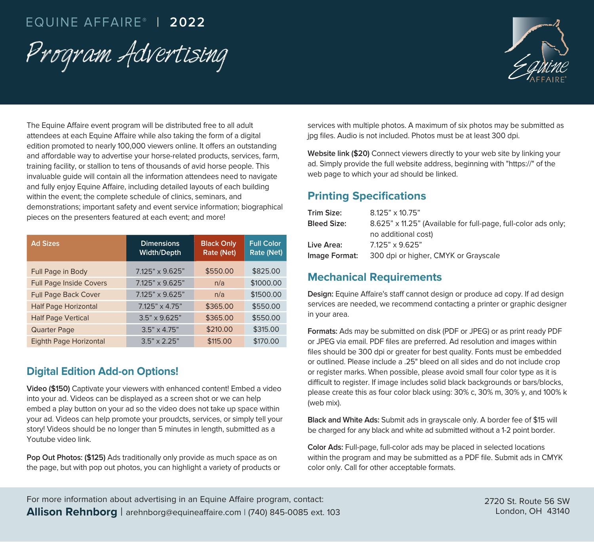# EQUINE AFFAIRE® | **2022**

Program Advertising



The Equine Affaire event program will be distributed free to all adult attendees at each Equine Affaire while also taking the form of a digital edition promoted to nearly 100,000 viewers online. It offers an outstanding and affordable way to advertise your horse-related products, services, farm, training facility, or stallion to tens of thousands of avid horse people. This invaluable guide will contain all the information attendees need to navigate and fully enjoy Equine Affaire, including detailed layouts of each building within the event; the complete schedule of clinics, seminars, and demonstrations; important safety and event service information; biographical pieces on the presenters featured at each event; and more!

| <b>Ad Sizes</b>                | <b>Dimensions</b><br><b>Width/Depth</b> | <b>Black Only</b><br>Rate (Net) | <b>Full Color</b><br>Rate (Net) |
|--------------------------------|-----------------------------------------|---------------------------------|---------------------------------|
| Full Page in Body              | 7.125" x 9.625"                         | \$550.00                        | \$825.00                        |
| <b>Full Page Inside Covers</b> | 7.125" x 9.625"                         | n/a                             | \$1000.00                       |
| <b>Full Page Back Cover</b>    | 7.125" x 9.625"                         | n/a                             | \$1500.00                       |
| <b>Half Page Horizontal</b>    | $7.125" \times 4.75"$                   | \$365.00                        | \$550.00                        |
| <b>Half Page Vertical</b>      | $3.5" \times 9.625"$                    | \$365.00                        | \$550.00                        |
| <b>Quarter Page</b>            | $3.5" \times 4.75"$                     | \$210.00                        | \$315.00                        |
| Eighth Page Horizontal         | $3.5" \times 2.25"$                     | \$115.00                        | \$170.00                        |

# **Digital Edition Add-on Options!**

**Video (\$150)** Captivate your viewers with enhanced content! Embed a video into your ad. Videos can be displayed as a screen shot or we can help embed a play button on your ad so the video does not take up space within your ad. Videos can help promote your proudcts, services, or simply tell your story! Videos should be no longer than 5 minutes in length, submitted as a Youtube video link.

**Pop Out Photos: (\$125)** Ads traditionally only provide as much space as on the page, but with pop out photos, you can highlight a variety of products or services with multiple photos. A maximum of six photos may be submitted as jpg files. Audio is not included. Photos must be at least 300 dpi.

**Website link (\$20)** Connect viewers directly to your web site by linking your ad. Simply provide the full website address, beginning with "https://" of the web page to which your ad should be linked.

# **Printing Specifications**

| Trim Size:         | $8.125" \times 10.75"$                                         |
|--------------------|----------------------------------------------------------------|
| <b>Bleed Size:</b> | 8.625" x 11.25" (Available for full-page, full-color ads only; |
|                    | no additional cost)                                            |
| Live Area:         | $7.125" \times 9.625"$                                         |
| Image Format:      | 300 dpi or higher, CMYK or Grayscale                           |

### **Mechanical Requirements**

**Design:** Equine Affaire's staff cannot design or produce ad copy. If ad design services are needed, we recommend contacting a printer or graphic designer in your area.

**Formats:** Ads may be submitted on disk (PDF or JPEG) or as print ready PDF or JPEG via email. PDF files are preferred. Ad resolution and images within files should be 300 dpi or greater for best quality. Fonts must be embedded or outlined. Please include a .25" bleed on all sides and do not include crop or register marks. When possible, please avoid small four color type as it is difficult to register. If image includes solid black backgrounds or bars/blocks, please create this as four color black using: 30% c, 30% m, 30% y, and 100% k (web mix).

**Black and White Ads:** Submit ads in grayscale only. A border fee of \$15 will be charged for any black and white ad submitted without a 1-2 point border.

**Color Ads:** Full-page, full-color ads may be placed in selected locations within the program and may be submitted as a PDF file. Submit ads in CMYK color only. Call for other acceptable formats.